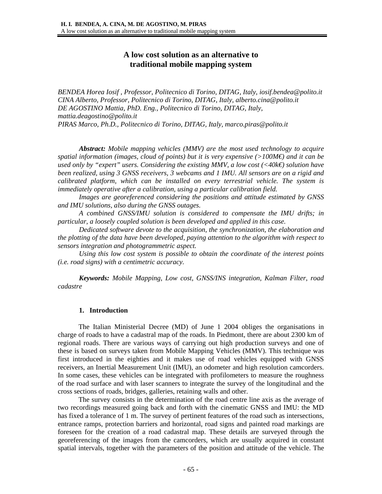# **A low cost solution as an alternative to traditional mobile mapping system**

*BENDEA Horea Iosif , Professor, Politecnico di Torino, DITAG, Italy, iosif.bendea@polito.it CINA Alberto, Professor, Politecnico di Torino, DITAG, Italy, alberto.cina@polito.it DE AGOSTINO Mattia, PhD. Eng., Politecnico di Torino, DITAG, Italy, mattia.deagostino@polito.it PIRAS Marco, Ph.D., Politecnico di Torino, DITAG, Italy, marco.piras@polito.it* 

*Abstract: Mobile mapping vehicles (MMV) are the most used technology to acquire spatial information (images, cloud of points) but it is very expensive (>100M€) and it can be used only by "expert" users. Considering the existing MMV, a low cost (<40k€) solution have been realized, using 3 GNSS receivers, 3 webcams and 1 IMU. All sensors are on a rigid and calibrated platform, which can be installed on every terrestrial vehicle. The system is immediately operative after a calibration, using a particular calibration field.* 

*Images are georeferenced considering the positions and attitude estimated by GNSS and IMU solutions, also during the GNSS outages.* 

*A combined GNSS/IMU solution is considered to compensate the IMU drifts; in particular, a loosely coupled solution is been developed and applied in this case.* 

*Dedicated software devote to the acquisition, the synchronization, the elaboration and the plotting of the data have been developed, paying attention to the algorithm with respect to sensors integration and photogrammetric aspect.* 

*Using this low cost system is possible to obtain the coordinate of the interest points (i.e. road signs) with a centimetric accuracy.* 

*Keywords: Mobile Mapping, Low cost, GNSS/INS integration, Kalman Filter, road cadastre* 

### **1. Introduction**

The Italian Ministerial Decree (MD) of June 1 2004 obliges the organisations in charge of roads to have a cadastral map of the roads. In Piedmont, there are about 2300 km of regional roads. There are various ways of carrying out high production surveys and one of these is based on surveys taken from Mobile Mapping Vehicles (MMV). This technique was first introduced in the eighties and it makes use of road vehicles equipped with GNSS receivers, an Inertial Measurement Unit (IMU), an odometer and high resolution camcorders. In some cases, these vehicles can be integrated with profilometers to measure the roughness of the road surface and with laser scanners to integrate the survey of the longitudinal and the cross sections of roads, bridges, galleries, retaining walls and other.

The survey consists in the determination of the road centre line axis as the average of two recordings measured going back and forth with the cinematic GNSS and IMU: the MD has fixed a tolerance of 1 m. The survey of pertinent features of the road such as intersections, entrance ramps, protection barriers and horizontal, road signs and painted road markings are foreseen for the creation of a road cadastral map. These details are surveyed through the georeferencing of the images from the camcorders, which are usually acquired in constant spatial intervals, together with the parameters of the position and attitude of the vehicle. The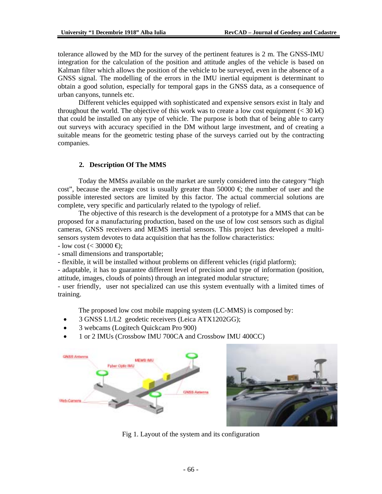tolerance allowed by the MD for the survey of the pertinent features is 2 m. The GNSS-IMU integration for the calculation of the position and attitude angles of the vehicle is based on Kalman filter which allows the position of the vehicle to be surveyed, even in the absence of a GNSS signal. The modelling of the errors in the IMU inertial equipment is determinant to obtain a good solution, especially for temporal gaps in the GNSS data, as a consequence of urban canyons, tunnels etc.

Different vehicles equipped with sophisticated and expensive sensors exist in Italy and throughout the world. The objective of this work was to create a low cost equipment ( $\lt 30 \text{ kg}$ ) that could be installed on any type of vehicle. The purpose is both that of being able to carry out surveys with accuracy specified in the DM without large investment, and of creating a suitable means for the geometric testing phase of the surveys carried out by the contracting companies.

# **2. Description Of The MMS**

Today the MMSs available on the market are surely considered into the category "high cost", because the average cost is usually greater than 50000  $\in$  the number of user and the possible interested sectors are limited by this factor. The actual commercial solutions are complete, very specific and particularly related to the typology of relief.

The objective of this research is the development of a prototype for a MMS that can be proposed for a manufacturing production, based on the use of low cost sensors such as digital cameras, GNSS receivers and MEMS inertial sensors. This project has developed a multisensors system devotes to data acquisition that has the follow characteristics:

 $-$  low cost (< 30000  $\bigoplus$ );

- small dimensions and transportable;

- flexible, it will be installed without problems on different vehicles (rigid platform);

- adaptable, it has to guarantee different level of precision and type of information (position, attitude, images, clouds of points) through an integrated modular structure;

- user friendly, user not specialized can use this system eventually with a limited times of training.

The proposed low cost mobile mapping system (LC-MMS) is composed by:

- 3 GNSS L1/L2 geodetic receivers (Leica ATX1202GG);
- 3 webcams (Logitech Quickcam Pro 900)
- 1 or 2 IMUs (Crossbow IMU 700CA and Crossbow IMU 400CC)





Fig 1. Layout of the system and its configuration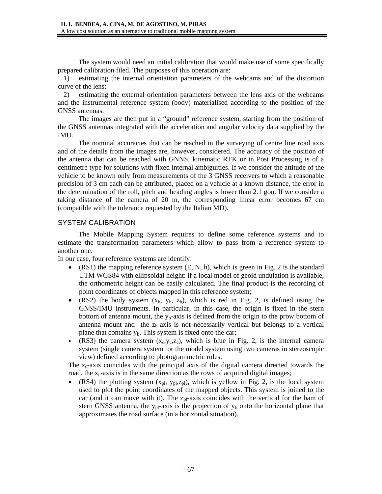The system would need an initial calibration that would make use of some specifically prepared calibration filed. The purposes of this operation are:

1) estimating the internal orientation parameters of the webcams and of the distortion curve of the lens;

2) estimating the external orientation parameters between the lens axis of the webcams and the instrumental reference system (body) materialised according to the position of the GNSS antennas.

The images are then put in a "ground" reference system, starting from the position of the GNSS antennas integrated with the acceleration and angular velocity data supplied by the IMU.

The nominal accuracies that can be reached in the surveying of centre line road axis and of the details from the images are, however, considered. The accuracy of the position of the antenna that can be reached with GNNS, kinematic RTK or in Post Processing is of a centimetre type for solutions with fixed internal ambiguities. If we consider the attitude of the vehicle to be known only from measurements of the 3 GNSS receivers to which a reasonable precision of 3 cm each can be attributed, placed on a vehicle at a known distance, the error in the determination of the roll, pitch and heading angles is lower than 2.1 gon. If we consider a taking distance of the camera of 20 m, the corresponding linear error becomes 67 cm (compatible with the tolerance requested by the Italian MD).

# SYSTEM CALIBRATION

The Mobile Mapping System requires to define some reference systems and to estimate the transformation parameters which allow to pass from a reference system to another one.

In our case, four reference systems are identify:

- (RS1) the mapping reference system  $(E, N, h)$ , which is green in Fig. 2 is the standard UTM WGS84 with ellipsoidal height: if a local model of geoid undulation is available, the orthometric height can be easily calculated. The final product is the recording of point coordinates of objects mapped in this reference system;
- (RS2) the body system  $(x_b, y_b, z_b)$ , which is red in Fig. 2, is defined using the GNSS/IMU instruments. In particular, in this case, the origin is fixed in the stern bottom of antenna mount, the  $y_b$ -axis is defined from the origin to the prow bottom of antenna mount and the  $z<sub>b</sub>$ -axis is not necessarily vertical but belongs to a vertical plane that contains  $y<sub>b</sub>$ . This system is fixed onto the car;
- (RS3) the camera system  $(x_c, y_c, z_c)$ , which is blue in Fig. 2, is the internal camera system (single camera system or the model system using two cameras in stereoscopic view) defined according to photogrammetric rules.

The  $z_c$ -axis coincides with the principal axis of the digital camera directed towards the road, the  $x_c$ -axis is in the same direction as the rows of acquired digital images;

(RS4) the plotting system  $(x_{pl}, y_{pl}, z_{pl})$ , which is yellow in Fig. 2, is the local system used to plot the point coordinates of the mapped objects. This system is joined to the car (and it can move with it). The  $z<sub>p1</sub>$ -axis coincides with the vertical for the bam of stern GNSS antenna, the  $y_{pl}$ -axis is the projection of  $y_b$  onto the horizontal plane that approximates the road surface (in a horizontal situation).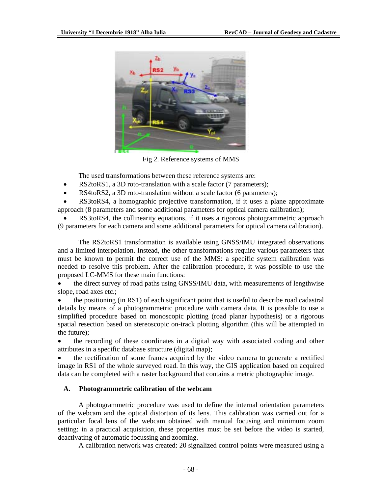

Fig 2. Reference systems of MMS

The used transformations between these reference systems are:

- RS2toRS1, a 3D roto-translation with a scale factor (7 parameters);
- RS4toRS2, a 3D roto-translation without a scale factor (6 parameters);

• RS3toRS4, a homographic projective transformation, if it uses a plane approximate approach (8 parameters and some additional parameters for optical camera calibration);

• RS3toRS4, the collinearity equations, if it uses a rigorous photogrammetric approach (9 parameters for each camera and some additional parameters for optical camera calibration).

The RS2toRS1 transformation is available using GNSS/IMU integrated observations and a limited interpolation. Instead, the other transformations require various parameters that must be known to permit the correct use of the MMS: a specific system calibration was needed to resolve this problem. After the calibration procedure, it was possible to use the proposed LC-MMS for these main functions:

• the direct survey of road paths using GNSS/IMU data, with measurements of lengthwise slope, road axes etc.;

• the positioning (in RS1) of each significant point that is useful to describe road cadastral details by means of a photogrammetric procedure with camera data. It is possible to use a simplified procedure based on monoscopic plotting (road planar hypothesis) or a rigorous spatial resection based on stereoscopic on-track plotting algorithm (this will be attempted in the future);

• the recording of these coordinates in a digital way with associated coding and other attributes in a specific database structure (digital map);

• the rectification of some frames acquired by the video camera to generate a rectified image in RS1 of the whole surveyed road. In this way, the GIS application based on acquired data can be completed with a raster background that contains a metric photographic image.

# **A. Photogrammetric calibration of the webcam**

A photogrammetric procedure was used to define the internal orientation parameters of the webcam and the optical distortion of its lens. This calibration was carried out for a particular focal lens of the webcam obtained with manual focusing and minimum zoom setting: in a practical acquisition, these properties must be set before the video is started, deactivating of automatic focussing and zooming.

A calibration network was created: 20 signalized control points were measured using a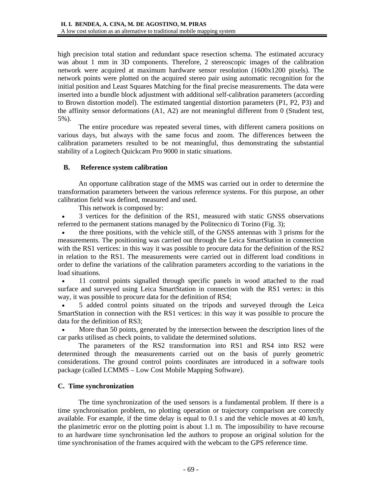high precision total station and redundant space resection schema. The estimated accuracy was about 1 mm in 3D components. Therefore, 2 stereoscopic images of the calibration network were acquired at maximum hardware sensor resolution (1600x1200 pixels). The network points were plotted on the acquired stereo pair using automatic recognition for the initial position and Least Squares Matching for the final precise measurements. The data were inserted into a bundle block adjustment with additional self-calibration parameters (according to Brown distortion model). The estimated tangential distortion parameters (P1, P2, P3) and the affinity sensor deformations (A1, A2) are not meaningful different from 0 (Student test, 5%).

The entire procedure was repeated several times, with different camera positions on various days, but always with the same focus and zoom. The differences between the calibration parameters resulted to be not meaningful, thus demonstrating the substantial stability of a Logitech Quickcam Pro 9000 in static situations.

### **B. Reference system calibration**

An opportune calibration stage of the MMS was carried out in order to determine the transformation parameters between the various reference systems. For this purpose, an other calibration field was defined, measured and used.

This network is composed by:

• 3 vertices for the definition of the RS1, measured with static GNSS observations referred to the permanent stations managed by the Politecnico di Torino (Fig. 3);

• the three positions, with the vehicle still, of the GNSS antennas with 3 prisms for the measurements. The positioning was carried out through the Leica SmartStation in connection with the RS1 vertices: in this way it was possible to procure data for the definition of the RS2 in relation to the RS1. The measurements were carried out in different load conditions in order to define the variations of the calibration parameters according to the variations in the load situations.

• 11 control points signalled through specific panels in wood attached to the road surface and surveyed using Leica SmartStation in connection with the RS1 vertex: in this way, it was possible to procure data for the definition of RS4;

• 5 added control points situated on the tripods and surveyed through the Leica SmartStation in connection with the RS1 vertices: in this way it was possible to procure the data for the definition of RS3;

• More than 50 points, generated by the intersection between the description lines of the car parks utilised as check points, to validate the determined solutions.

The parameters of the RS2 transformation into RS1 and RS4 into RS2 were determined through the measurements carried out on the basis of purely geometric considerations. The ground control points coordinates are introduced in a software tools package (called LCMMS – Low Cost Mobile Mapping Software).

# **C. Time synchronization**

The time synchronization of the used sensors is a fundamental problem. If there is a time synchronisation problem, no plotting operation or trajectory comparison are correctly available. For example, if the time delay is equal to 0.1 s and the vehicle moves at 40 km/h, the planimetric error on the plotting point is about 1.1 m. The impossibility to have recourse to an hardware time synchronisation led the authors to propose an original solution for the time synchronisation of the frames acquired with the webcam to the GPS reference time.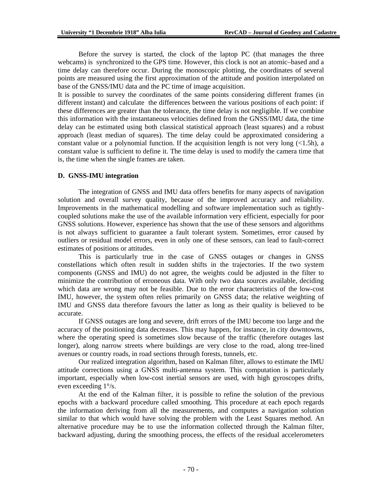Before the survey is started, the clock of the laptop PC (that manages the three webcams) is synchronized to the GPS time. However, this clock is not an atomic–based and a time delay can therefore occur. During the monoscopic plotting, the coordinates of several points are measured using the first approximation of the attitude and position interpolated on base of the GNSS/IMU data and the PC time of image acquisition.

It is possible to survey the coordinates of the same points considering different frames (in different instant) and calculate the differences between the various positions of each point: if these differences are greater than the tolerance, the time delay is not negligible. If we combine this information with the instantaneous velocities defined from the GNSS/IMU data, the time delay can be estimated using both classical statistical approach (least squares) and a robust approach (least median of squares). The time delay could be approximated considering a constant value or a polynomial function. If the acquisition length is not very long  $(\le 1.5h)$ , a constant value is sufficient to define it. The time delay is used to modify the camera time that is, the time when the single frames are taken.

#### **D. GNSS-IMU integration**

The integration of GNSS and IMU data offers benefits for many aspects of navigation solution and overall survey quality, because of the improved accuracy and reliability. Improvements in the mathematical modelling and software implementation such as tightlycoupled solutions make the use of the available information very efficient, especially for poor GNSS solutions. However, experience has shown that the use of these sensors and algorithms is not always sufficient to guarantee a fault tolerant system. Sometimes, error caused by outliers or residual model errors, even in only one of these sensors, can lead to fault-correct estimates of positions or attitudes.

This is particularly true in the case of GNSS outages or changes in GNSS constellations which often result in sudden shifts in the trajectories. If the two system components (GNSS and IMU) do not agree, the weights could be adjusted in the filter to minimize the contribution of erroneous data. With only two data sources available, deciding which data are wrong may not be feasible. Due to the error characteristics of the low-cost IMU, however, the system often relies primarily on GNSS data; the relative weighting of IMU and GNSS data therefore favours the latter as long as their quality is believed to be accurate.

If GNSS outages are long and severe, drift errors of the IMU become too large and the accuracy of the positioning data decreases. This may happen, for instance, in city downtowns, where the operating speed is sometimes slow because of the traffic (therefore outages last longer), along narrow streets where buildings are very close to the road, along tree-lined avenues or country roads, in road sections through forests, tunnels, etc.

Our realized integration algorithm, based on Kalman filter, allows to estimate the IMU attitude corrections using a GNSS multi-antenna system. This computation is particularly important, especially when low-cost inertial sensors are used, with high gyroscopes drifts, even exceeding 1°/s.

At the end of the Kalman filter, it is possible to refine the solution of the previous epochs with a backward procedure called smoothing. This procedure at each epoch regards the information deriving from all the measurements, and computes a navigation solution similar to that which would have solving the problem with the Least Squares method. An alternative procedure may be to use the information collected through the Kalman filter, backward adjusting, during the smoothing process, the effects of the residual accelerometers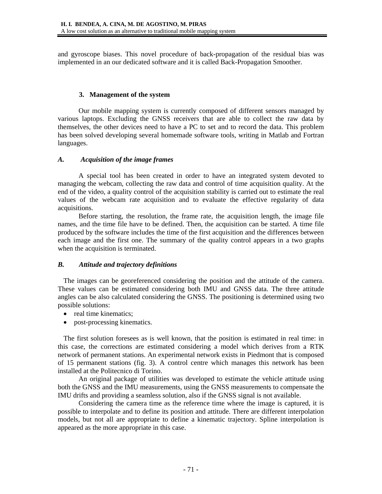and gyroscope biases. This novel procedure of back-propagation of the residual bias was implemented in an our dedicated software and it is called Back-Propagation Smoother.

### **3. Management of the system**

Our mobile mapping system is currently composed of different sensors managed by various laptops. Excluding the GNSS receivers that are able to collect the raw data by themselves, the other devices need to have a PC to set and to record the data. This problem has been solved developing several homemade software tools, writing in Matlab and Fortran languages.

### *A. Acquisition of the image frames*

A special tool has been created in order to have an integrated system devoted to managing the webcam, collecting the raw data and control of time acquisition quality. At the end of the video, a quality control of the acquisition stability is carried out to estimate the real values of the webcam rate acquisition and to evaluate the effective regularity of data acquisitions.

Before starting, the resolution, the frame rate, the acquisition length, the image file names, and the time file have to be defined. Then, the acquisition can be started. A time file produced by the software includes the time of the first acquisition and the differences between each image and the first one. The summary of the quality control appears in a two graphs when the acquisition is terminated.

# *B. Attitude and trajectory definitions*

The images can be georeferenced considering the position and the attitude of the camera. These values can be estimated considering both IMU and GNSS data. The three attitude angles can be also calculated considering the GNSS. The positioning is determined using two possible solutions:

- real time kinematics;
- post-processing kinematics.

The first solution foresees as is well known, that the position is estimated in real time: in this case, the corrections are estimated considering a model which derives from a RTK network of permanent stations. An experimental network exists in Piedmont that is composed of 15 permanent stations (fig. 3). A control centre which manages this network has been installed at the Politecnico di Torino.

An original package of utilities was developed to estimate the vehicle attitude using both the GNSS and the IMU measurements, using the GNSS measurements to compensate the IMU drifts and providing a seamless solution, also if the GNSS signal is not available.

Considering the camera time as the reference time where the image is captured, it is possible to interpolate and to define its position and attitude. There are different interpolation models, but not all are appropriate to define a kinematic trajectory. Spline interpolation is appeared as the more appropriate in this case.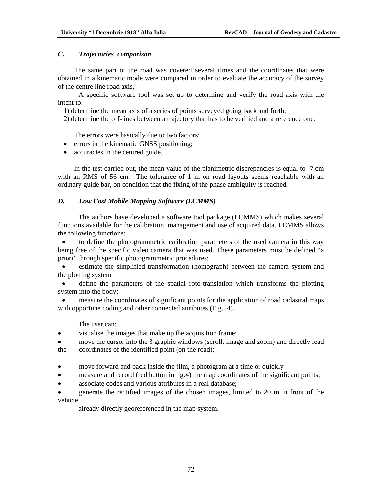### *C. Trajectories comparison*

The same part of the road was covered several times and the coordinates that were obtained in a kinematic mode were compared in order to evaluate the accuracy of the survey of the centre line road axis,

A specific software tool was set up to determine and verify the road axis with the intent to:

1) determine the mean axis of a series of points surveyed going back and forth;

2) determine the off-lines between a trajectory that has to be verified and a reference one.

The errors were basically due to two factors:

- errors in the kinematic GNSS positioning;
- accuracies in the centred guide.

In the test carried out, the mean value of the planimetric discrepancies is equal to -7 cm with an RMS of 56 cm. The tolerance of 1 m on road layouts seems reachable with an ordinary guide bar, on condition that the fixing of the phase ambiguity is reached.

# *D. Low Cost Mobile Mapping Software (LCMMS)*

The authors have developed a software tool package (LCMMS) which makes several functions available for the calibration, management and use of acquired data. LCMMS allows the following functions:

• to define the photogrammetric calibration parameters of the used camera in this way being free of the specific video camera that was used. These parameters must be defined "a priori" through specific photogrammetric procedures;

• estimate the simplified transformation (homograph) between the camera system and the plotting system

define the parameters of the spatial roto-translation which transforms the plotting system into the body;

• measure the coordinates of significant points for the application of road cadastral maps with opportune coding and other connected attributes (Fig. 4).

The user can:

- visualise the images that make up the acquisition frame;
- move the cursor into the 3 graphic windows (scroll, image and zoom) and directly read the coordinates of the identified point (on the road);
- move forward and back inside the film, a photogram at a time or quickly
- measure and record (red button in fig.4) the map coordinates of the significant points;
- associate codes and various attributes in a real database;
- generate the rectified images of the chosen images, limited to 20 m in front of the vehicle,

already directly georeferenced in the map system.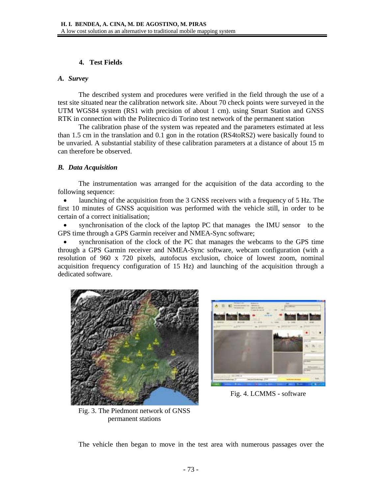### **4. Test Fields**

#### *A. Survey*

The described system and procedures were verified in the field through the use of a test site situated near the calibration network site. About 70 check points were surveyed in the UTM WGS84 system (RS1 with precision of about 1 cm). using Smart Station and GNSS RTK in connection with the Politecnico di Torino test network of the permanent station

The calibration phase of the system was repeated and the parameters estimated at less than 1.5 cm in the translation and 0.1 gon in the rotation (RS4toRS2) were basically found to be unvaried. A substantial stability of these calibration parameters at a distance of about 15 m can therefore be observed.

### *B. Data Acquisition*

The instrumentation was arranged for the acquisition of the data according to the following sequence:

launching of the acquisition from the 3 GNSS receivers with a frequency of 5 Hz. The first 10 minutes of GNSS acquisition was performed with the vehicle still, in order to be certain of a correct initialisation;

• synchronisation of the clock of the laptop PC that manages the IMU sensor to the GPS time through a GPS Garmin receiver and NMEA-Sync software;

• synchronisation of the clock of the PC that manages the webcams to the GPS time through a GPS Garmin receiver and NMEA-Sync software, webcam configuration (with a resolution of 960 x 720 pixels, autofocus exclusion, choice of lowest zoom, nominal acquisition frequency configuration of 15 Hz) and launching of the acquisition through a dedicated software.





Fig. 4. LCMMS - software

Fig. 3. The Piedmont network of GNSS permanent stations

The vehicle then began to move in the test area with numerous passages over the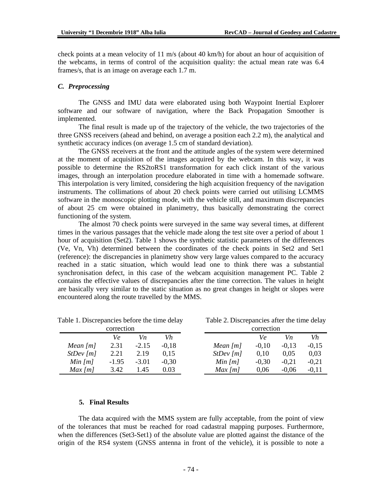Table 2. Discrepancies after the time delay

check points at a mean velocity of 11 m/s (about 40 km/h) for about an hour of acquisition of the webcams, in terms of control of the acquisition quality: the actual mean rate was 6.4 frames/s, that is an image on average each 1.7 m.

#### *C. Preprocessing*

The GNSS and IMU data were elaborated using both Waypoint Inertial Explorer software and our software of navigation, where the Back Propagation Smoother is implemented.

The final result is made up of the trajectory of the vehicle, the two trajectories of the three GNSS receivers (ahead and behind, on average a position each 2.2 m), the analytical and synthetic accuracy indices (on average 1.5 cm of standard deviation).

The GNSS receivers at the front and the attitude angles of the system were determined at the moment of acquisition of the images acquired by the webcam. In this way, it was possible to determine the RS2toRS1 transformation for each click instant of the various images, through an interpolation procedure elaborated in time with a homemade software. This interpolation is very limited, considering the high acquisition frequency of the navigation instruments. The collimations of about 20 check points were carried out utilising LCMMS software in the monoscopic plotting mode, with the vehicle still, and maximum discrepancies of about 25 cm were obtained in planimetry, thus basically demonstrating the correct functioning of the system.

The almost 70 check points were surveyed in the same way several times, at different times in the various passages that the vehicle made along the test site over a period of about 1 hour of acquisition (Set2). Table 1 shows the synthetic statistic parameters of the differences (Ve, Vn, Vh) determined between the coordinates of the check points in Set2 and Set1 (reference): the discrepancies in planimetry show very large values compared to the accuracy reached in a static situation, which would lead one to think there was a substantial synchronisation defect, in this case of the webcam acquisition management PC. Table 2 contains the effective values of discrepancies after the time correction. The values in height are basically very similar to the static situation as no great changes in height or slopes were encountered along the route travelled by the MMS.

| correction |         |         |         |            | correction |         |         |  |
|------------|---------|---------|---------|------------|------------|---------|---------|--|
|            | Ve      | Vn      | Vh      |            | Ve         | Vn      | Vh      |  |
| Mean $[m]$ | 2.31    | $-2.15$ | $-0.18$ | Mean $[m]$ | $-0.10$    | $-0.13$ | $-0,15$ |  |
| StDev[m]   | 2.21    | 2.19    | 0.15    | StDev[m]   | 0.10       | 0.05    | 0,03    |  |
| Min $[m]$  | $-1.95$ | $-3.01$ | $-0.30$ | Min $[m]$  | $-0.30$    | $-0.21$ | $-0,21$ |  |
| $Max$ [m]  | 3.42    | .45     | 0.03    | $Max$ [m]  | 0.06       | $-0.06$ | $-0.11$ |  |

Table 1. Discrepancies before the time delay

### **5. Final Results**

The data acquired with the MMS system are fully acceptable, from the point of view of the tolerances that must be reached for road cadastral mapping purposes. Furthermore, when the differences (Set3-Set1) of the absolute value are plotted against the distance of the origin of the RS4 system (GNSS antenna in front of the vehicle), it is possible to note a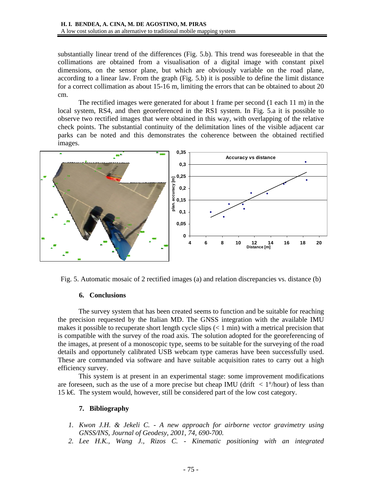substantially linear trend of the differences (Fig. 5.b). This trend was foreseeable in that the collimations are obtained from a visualisation of a digital image with constant pixel dimensions, on the sensor plane, but which are obviously variable on the road plane, according to a linear law. From the graph (Fig. 5.b) it is possible to define the limit distance for a correct collimation as about 15-16 m, limiting the errors that can be obtained to about 20 cm.

The rectified images were generated for about 1 frame per second (1 each 11 m) in the local system, RS4, and then georeferenced in the RS1 system. In Fig. 5.a it is possible to observe two rectified images that were obtained in this way, with overlapping of the relative check points. The substantial continuity of the delimitation lines of the visible adjacent car parks can be noted and this demonstrates the coherence between the obtained rectified images.



Fig. 5. Automatic mosaic of 2 rectified images (a) and relation discrepancies vs. distance (b)

### **6. Conclusions**

The survey system that has been created seems to function and be suitable for reaching the precision requested by the Italian MD. The GNSS integration with the available IMU makes it possible to recuperate short length cycle slips  $(< 1$  min) with a metrical precision that is compatible with the survey of the road axis. The solution adopted for the georeferencing of the images, at present of a monoscopic type, seems to be suitable for the surveying of the road details and opportunely calibrated USB webcam type cameras have been successfully used. These are commanded via software and have suitable acquisition rates to carry out a high efficiency survey.

This system is at present in an experimental stage: some improvement modifications are foreseen, such as the use of a more precise but cheap IMU (drift  $\langle 1^{\circ}/\rangle$ hour) of less than 15 k€. The system would, however, still be considered part of the low cost category.

### **7. Bibliography**

- *1. Kwon J.H. & Jekeli C. A new approach for airborne vector gravimetry using GNSS/INS, Journal of Geodesy, 2001, 74, 690-700.*
- *2. Lee H.K., Wang J., Rizos C. Kinematic positioning with an integrated*